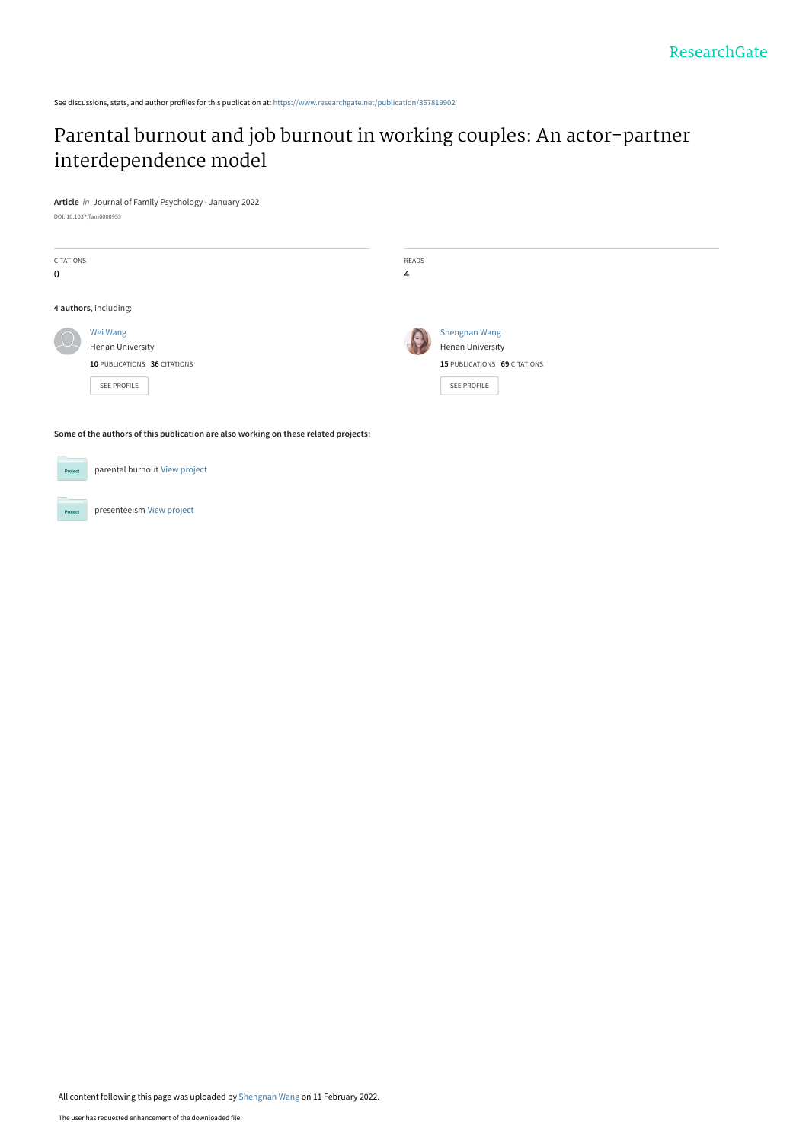See discussions, stats, and author profiles for this publication at: [https://www.researchgate.net/publication/357819902](https://www.researchgate.net/publication/357819902_Parental_burnout_and_job_burnout_in_working_couples_An_actor-partner_interdependence_model?enrichId=rgreq-e19463b9bd331a1dbbbe5b228597e80e-XXX&enrichSource=Y292ZXJQYWdlOzM1NzgxOTkwMjtBUzoxMTIyMTg2MzkxNzU2ODA1QDE2NDQ1NjE0OTM3MDM%3D&el=1_x_2&_esc=publicationCoverPdf)

# [Parental burnout and job burnout in working couples: An actor-partner](https://www.researchgate.net/publication/357819902_Parental_burnout_and_job_burnout_in_working_couples_An_actor-partner_interdependence_model?enrichId=rgreq-e19463b9bd331a1dbbbe5b228597e80e-XXX&enrichSource=Y292ZXJQYWdlOzM1NzgxOTkwMjtBUzoxMTIyMTg2MzkxNzU2ODA1QDE2NDQ1NjE0OTM3MDM%3D&el=1_x_3&_esc=publicationCoverPdf) interdependence model

**Article** in Journal of Family Psychology · January 2022 DOI: 10.1037/fam0000953

| CITATIONS<br>$\mathbf 0$ |                                                                                    | READS<br>4 |                                                                                                |
|--------------------------|------------------------------------------------------------------------------------|------------|------------------------------------------------------------------------------------------------|
|                          | 4 authors, including:                                                              |            |                                                                                                |
|                          | Wei Wang<br>Henan University<br>10 PUBLICATIONS 36 CITATIONS<br><b>SEE PROFILE</b> |            | <b>Shengnan Wang</b><br><b>Henan University</b><br>15 PUBLICATIONS 69 CITATIONS<br>SEE PROFILE |

**Some of the authors of this publication are also working on these related projects:**

| <b>Project</b> | parental burnout View project |
|----------------|-------------------------------|
|                |                               |
| <b>Project</b> | presenteeism View project     |

All content following this page was uploaded by [Shengnan Wang](https://www.researchgate.net/profile/Shengnan-Wang-2?enrichId=rgreq-e19463b9bd331a1dbbbe5b228597e80e-XXX&enrichSource=Y292ZXJQYWdlOzM1NzgxOTkwMjtBUzoxMTIyMTg2MzkxNzU2ODA1QDE2NDQ1NjE0OTM3MDM%3D&el=1_x_10&_esc=publicationCoverPdf) on 11 February 2022.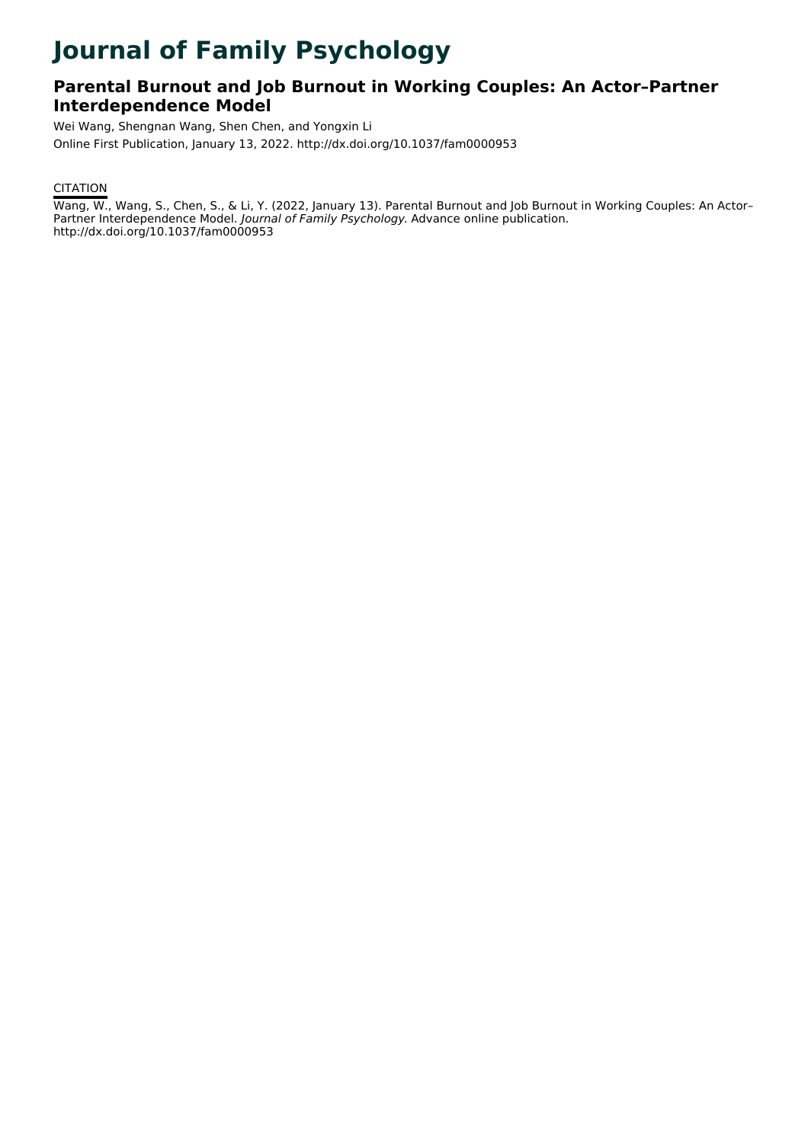# **Journal of Family Psychology**

### **Parental Burnout and Job Burnout in Working Couples: An Actor–Partner Interdependence Model**

Wei Wang, Shengnan Wang, Shen Chen, and Yongxin Li Online First Publication, January 13, 2022. http://dx.doi.org/10.1037/fam0000953

### **CITATION**

Wang, W., Wang, S., Chen, S., & Li, Y. (2022, January 13). Parental Burnout and Job Burnout in Working Couples: An Actor– Partner Interdependence Model. Journal of Family Psychology. Advance online publication. http://dx.doi.org/10.1037/fam0000953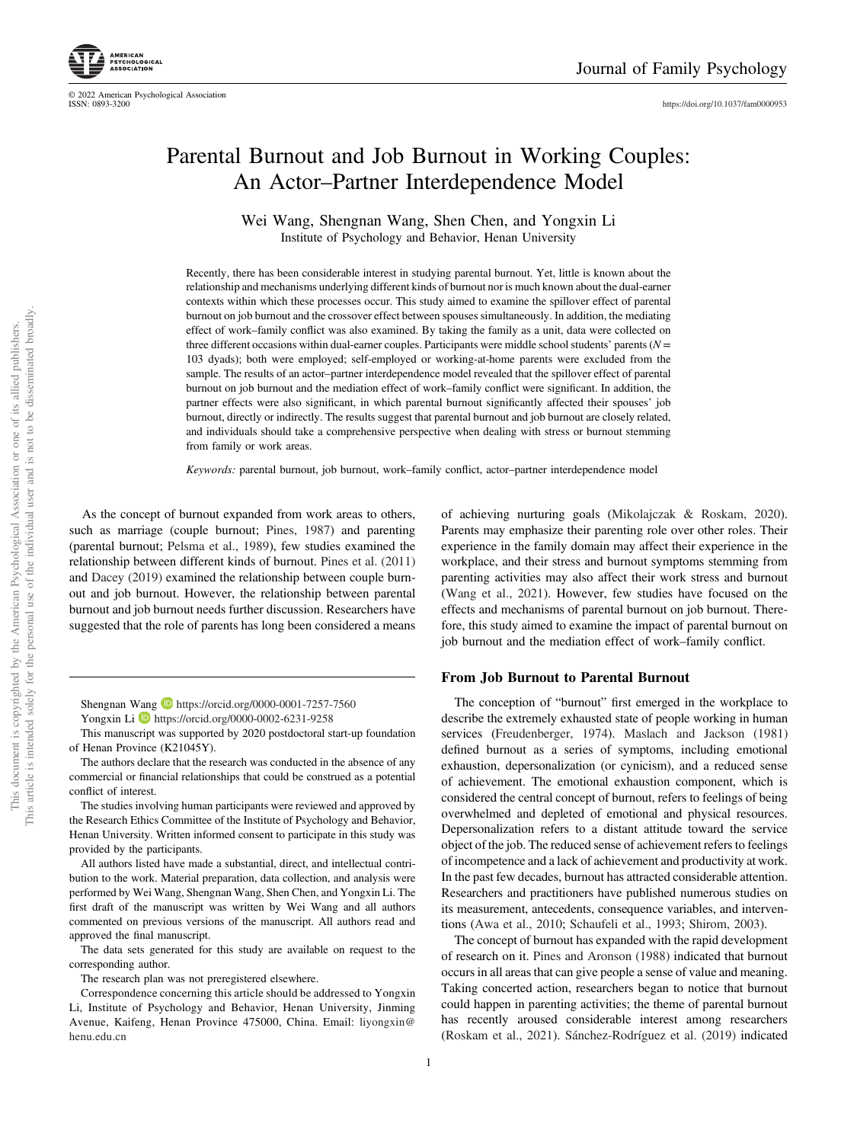

© 2022 American Psychological Association

<https://doi.org/10.1037/fam0000953>

## Parental Burnout and Job Burnout in Working Couples: An Actor–Partner Interdependence Model

Wei Wang, Shengnan Wang, Shen Chen, and Yongxin Li Institute of Psychology and Behavior, Henan University

Recently, there has been considerable interest in studying parental burnout. Yet, little is known about the relationship and mechanisms underlying different kinds of burnout nor is much known about the dual-earner contexts within which these processes occur. This study aimed to examine the spillover effect of parental burnout on job burnout and the crossover effect between spouses simultaneously. In addition, the mediating effect of work–family conflict was also examined. By taking the family as a unit, data were collected on three different occasions within dual-earner couples. Participants were middle school students' parents ( $N =$ 103 dyads); both were employed; self-employed or working-at-home parents were excluded from the sample. The results of an actor–partner interdependence model revealed that the spillover effect of parental burnout on job burnout and the mediation effect of work–family conflict were significant. In addition, the partner effects were also significant, in which parental burnout significantly affected their spouses' job burnout, directly or indirectly. The results suggest that parental burnout and job burnout are closely related, and individuals should take a comprehensive perspective when dealing with stress or burnout stemming from family or work areas.

Keywords: parental burnout, job burnout, work–family conflict, actor–partner interdependence model

As the concept of burnout expanded from work areas to others, such as marriage (couple burnout; Pines, 1987) and parenting (parental burnout; Pelsma et al., 1989), few studies examined the relationship between different kinds of burnout. Pines et al. (2011) and Dacey (2019) examined the relationship between couple burnout and job burnout. However, the relationship between parental burnout and job burnout needs further discussion. Researchers have suggested that the role of parents has long been considered a means

Shengnan Wang **D** <https://orcid.org/0000-0001-7257-7560> Yongxin Li **b** <https://orcid.org/0000-0002-6231-9258>

This manuscript was supported by 2020 postdoctoral start-up foundation of Henan Province (K21045Y).

The authors declare that the research was conducted in the absence of any commercial or financial relationships that could be construed as a potential conflict of interest.

The studies involving human participants were reviewed and approved by the Research Ethics Committee of the Institute of Psychology and Behavior, Henan University. Written informed consent to participate in this study was provided by the participants.

All authors listed have made a substantial, direct, and intellectual contribution to the work. Material preparation, data collection, and analysis were performed by Wei Wang, Shengnan Wang, Shen Chen, and Yongxin Li. The first draft of the manuscript was written by Wei Wang and all authors commented on previous versions of the manuscript. All authors read and approved the final manuscript.

The data sets generated for this study are available on request to the corresponding author.

The research plan was not preregistered elsewhere.

Correspondence concerning this article should be addressed to Yongxin Li, Institute of Psychology and Behavior, Henan University, Jinming Avenue, Kaifeng, Henan Province 475000, China. Email: [liyongxin@](mailto:liyongxin@henu.edu.cn) [henu.edu.cn](mailto:liyongxin@henu.edu.cn)

of achieving nurturing goals (Mikolajczak & Roskam, 2020). Parents may emphasize their parenting role over other roles. Their experience in the family domain may affect their experience in the workplace, and their stress and burnout symptoms stemming from parenting activities may also affect their work stress and burnout (Wang et al., 2021). However, few studies have focused on the effects and mechanisms of parental burnout on job burnout. Therefore, this study aimed to examine the impact of parental burnout on job burnout and the mediation effect of work–family conflict.

### From Job Burnout to Parental Burnout

The conception of "burnout" first emerged in the workplace to describe the extremely exhausted state of people working in human services (Freudenberger, 1974). Maslach and Jackson (1981) defined burnout as a series of symptoms, including emotional exhaustion, depersonalization (or cynicism), and a reduced sense of achievement. The emotional exhaustion component, which is considered the central concept of burnout, refers to feelings of being overwhelmed and depleted of emotional and physical resources. Depersonalization refers to a distant attitude toward the service object of the job. The reduced sense of achievement refers to feelings of incompetence and a lack of achievement and productivity at work. In the past few decades, burnout has attracted considerable attention. Researchers and practitioners have published numerous studies on its measurement, antecedents, consequence variables, and interventions (Awa et al., 2010; Schaufeli et al., 1993; Shirom, 2003).

The concept of burnout has expanded with the rapid development of research on it. Pines and Aronson (1988) indicated that burnout occurs in all areas that can give people a sense of value and meaning. Taking concerted action, researchers began to notice that burnout could happen in parenting activities; the theme of parental burnout has recently aroused considerable interest among researchers (Roskam et al., 2021). Sánchez-Rodríguez et al. (2019) indicated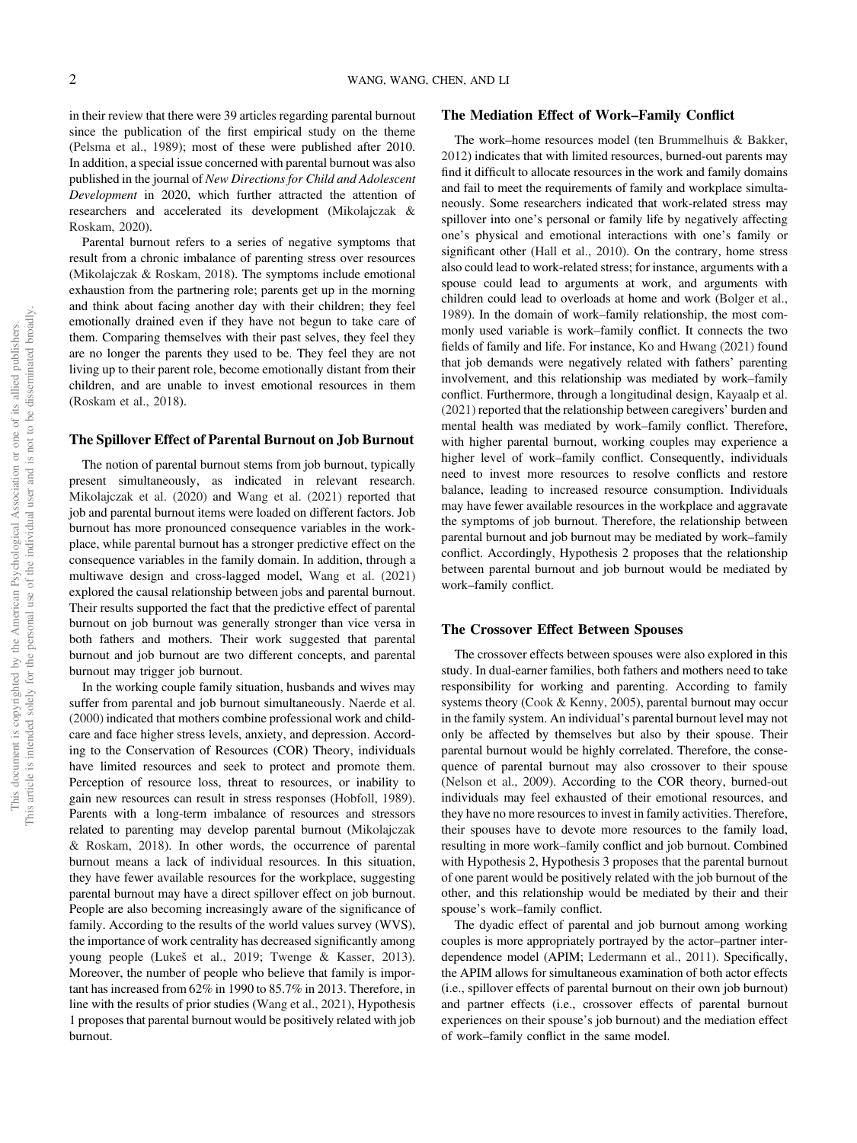in their review that there were 39 articles regarding parental burnout since the publication of the first empirical study on the theme (Pelsma et al., 1989); most of these were published after 2010. In addition, a special issue concerned with parental burnout was also published in the journal of New Directions for Child and Adolescent Development in 2020, which further attracted the attention of researchers and accelerated its development (Mikolajczak & Roskam, 2020).

Parental burnout refers to a series of negative symptoms that result from a chronic imbalance of parenting stress over resources (Mikolajczak & Roskam, 2018). The symptoms include emotional exhaustion from the partnering role; parents get up in the morning and think about facing another day with their children; they feel emotionally drained even if they have not begun to take care of them. Comparing themselves with their past selves, they feel they are no longer the parents they used to be. They feel they are not living up to their parent role, become emotionally distant from their children, and are unable to invest emotional resources in them (Roskam et al., 2018).

### The Spillover Effect of Parental Burnout on Job Burnout

The notion of parental burnout stems from job burnout, typically present simultaneously, as indicated in relevant research. Mikolajczak et al. (2020) and Wang et al. (2021) reported that job and parental burnout items were loaded on different factors. Job burnout has more pronounced consequence variables in the workplace, while parental burnout has a stronger predictive effect on the consequence variables in the family domain. In addition, through a multiwave design and cross-lagged model, Wang et al. (2021) explored the causal relationship between jobs and parental burnout. Their results supported the fact that the predictive effect of parental burnout on job burnout was generally stronger than vice versa in both fathers and mothers. Their work suggested that parental burnout and job burnout are two different concepts, and parental burnout may trigger job burnout.

In the working couple family situation, husbands and wives may suffer from parental and job burnout simultaneously. Naerde et al. (2000) indicated that mothers combine professional work and childcare and face higher stress levels, anxiety, and depression. According to the Conservation of Resources (COR) Theory, individuals have limited resources and seek to protect and promote them. Perception of resource loss, threat to resources, or inability to gain new resources can result in stress responses (Hobfoll, 1989). Parents with a long-term imbalance of resources and stressors related to parenting may develop parental burnout (Mikolajczak & Roskam, 2018). In other words, the occurrence of parental burnout means a lack of individual resources. In this situation, they have fewer available resources for the workplace, suggesting parental burnout may have a direct spillover effect on job burnout. People are also becoming increasingly aware of the significance of family. According to the results of the world values survey (WVS), the importance of work centrality has decreased significantly among young people (Lukeš et al., 2019; Twenge & Kasser, 2013). Moreover, the number of people who believe that family is important has increased from 62% in 1990 to 85.7% in 2013. Therefore, in line with the results of prior studies (Wang et al., 2021), Hypothesis 1 proposes that parental burnout would be positively related with job burnout.

### The Mediation Effect of Work–Family Conflict

The work–home resources model (ten Brummelhuis & Bakker, 2012) indicates that with limited resources, burned-out parents may find it difficult to allocate resources in the work and family domains and fail to meet the requirements of family and workplace simultaneously. Some researchers indicated that work-related stress may spillover into one's personal or family life by negatively affecting one's physical and emotional interactions with one's family or significant other (Hall et al., 2010). On the contrary, home stress also could lead to work-related stress; for instance, arguments with a spouse could lead to arguments at work, and arguments with children could lead to overloads at home and work (Bolger et al., 1989). In the domain of work–family relationship, the most commonly used variable is work–family conflict. It connects the two fields of family and life. For instance, Ko and Hwang (2021) found that job demands were negatively related with fathers' parenting involvement, and this relationship was mediated by work–family conflict. Furthermore, through a longitudinal design, Kayaalp et al. (2021) reported that the relationship between caregivers' burden and mental health was mediated by work–family conflict. Therefore, with higher parental burnout, working couples may experience a higher level of work–family conflict. Consequently, individuals need to invest more resources to resolve conflicts and restore balance, leading to increased resource consumption. Individuals may have fewer available resources in the workplace and aggravate the symptoms of job burnout. Therefore, the relationship between parental burnout and job burnout may be mediated by work–family conflict. Accordingly, Hypothesis 2 proposes that the relationship between parental burnout and job burnout would be mediated by work–family conflict.

### The Crossover Effect Between Spouses

The crossover effects between spouses were also explored in this study. In dual-earner families, both fathers and mothers need to take responsibility for working and parenting. According to family systems theory (Cook & Kenny, 2005), parental burnout may occur in the family system. An individual's parental burnout level may not only be affected by themselves but also by their spouse. Their parental burnout would be highly correlated. Therefore, the consequence of parental burnout may also crossover to their spouse (Nelson et al., 2009). According to the COR theory, burned-out individuals may feel exhausted of their emotional resources, and they have no more resources to invest in family activities. Therefore, their spouses have to devote more resources to the family load, resulting in more work–family conflict and job burnout. Combined with Hypothesis 2, Hypothesis 3 proposes that the parental burnout of one parent would be positively related with the job burnout of the other, and this relationship would be mediated by their and their spouse's work–family conflict.

The dyadic effect of parental and job burnout among working couples is more appropriately portrayed by the actor–partner interdependence model (APIM; Ledermann et al., 2011). Specifically, the APIM allows for simultaneous examination of both actor effects (i.e., spillover effects of parental burnout on their own job burnout) and partner effects (i.e., crossover effects of parental burnout experiences on their spouse's job burnout) and the mediation effect of work–family conflict in the same model.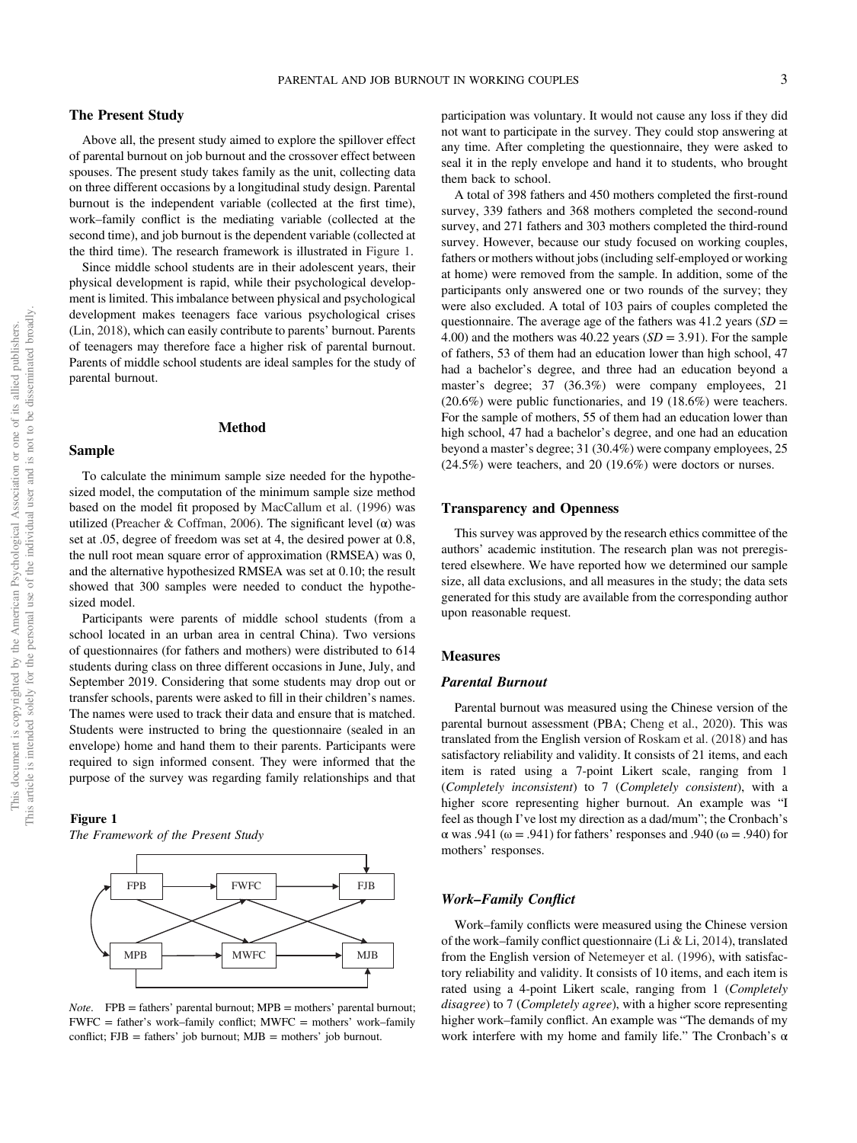### The Present Study

Above all, the present study aimed to explore the spillover effect of parental burnout on job burnout and the crossover effect between spouses. The present study takes family as the unit, collecting data on three different occasions by a longitudinal study design. Parental burnout is the independent variable (collected at the first time), work–family conflict is the mediating variable (collected at the second time), and job burnout is the dependent variable (collected at the third time). The research framework is illustrated in Figure 1.

Since middle school students are in their adolescent years, their physical development is rapid, while their psychological development is limited. This imbalance between physical and psychological development makes teenagers face various psychological crises (Lin, 2018), which can easily contribute to parents' burnout. Parents of teenagers may therefore face a higher risk of parental burnout. Parents of middle school students are ideal samples for the study of parental burnout.

### Method

### Sample

To calculate the minimum sample size needed for the hypothesized model, the computation of the minimum sample size method based on the model fit proposed by MacCallum et al. (1996) was utilized (Preacher & Coffman, 2006). The significant level (α) was set at .05, degree of freedom was set at 4, the desired power at 0.8, the null root mean square error of approximation (RMSEA) was 0, and the alternative hypothesized RMSEA was set at 0.10; the result showed that 300 samples were needed to conduct the hypothesized model.

Participants were parents of middle school students (from a school located in an urban area in central China). Two versions of questionnaires (for fathers and mothers) were distributed to 614 students during class on three different occasions in June, July, and September 2019. Considering that some students may drop out or transfer schools, parents were asked to fill in their children's names. The names were used to track their data and ensure that is matched. Students were instructed to bring the questionnaire (sealed in an envelope) home and hand them to their parents. Participants were required to sign informed consent. They were informed that the purpose of the survey was regarding family relationships and that

#### Figure 1

The Framework of the Present Study



Note. FPB = fathers' parental burnout; MPB = mothers' parental burnout; FWFC = father's work–family conflict; MWFC = mothers' work–family conflict;  $FJB = \text{fatters}'$  job burnout;  $MJB = \text{mothers}'$  job burnout.

participation was voluntary. It would not cause any loss if they did not want to participate in the survey. They could stop answering at any time. After completing the questionnaire, they were asked to seal it in the reply envelope and hand it to students, who brought them back to school.

A total of 398 fathers and 450 mothers completed the first-round survey, 339 fathers and 368 mothers completed the second-round survey, and 271 fathers and 303 mothers completed the third-round survey. However, because our study focused on working couples, fathers or mothers without jobs (including self-employed or working at home) were removed from the sample. In addition, some of the participants only answered one or two rounds of the survey; they were also excluded. A total of 103 pairs of couples completed the questionnaire. The average age of the fathers was  $41.2$  years ( $SD =$ 4.00) and the mothers was 40.22 years  $(SD = 3.91)$ . For the sample of fathers, 53 of them had an education lower than high school, 47 had a bachelor's degree, and three had an education beyond a master's degree; 37 (36.3%) were company employees, 21 (20.6%) were public functionaries, and 19 (18.6%) were teachers. For the sample of mothers, 55 of them had an education lower than high school, 47 had a bachelor's degree, and one had an education beyond a master's degree; 31 (30.4%) were company employees, 25 (24.5%) were teachers, and 20 (19.6%) were doctors or nurses.

### Transparency and Openness

This survey was approved by the research ethics committee of the authors' academic institution. The research plan was not preregistered elsewhere. We have reported how we determined our sample size, all data exclusions, and all measures in the study; the data sets generated for this study are available from the corresponding author upon reasonable request.

### Measures

### **Parental Burnout**

Parental burnout was measured using the Chinese version of the parental burnout assessment (PBA; Cheng et al., 2020). This was translated from the English version of Roskam et al. (2018) and has satisfactory reliability and validity. It consists of 21 items, and each item is rated using a 7-point Likert scale, ranging from 1 (Completely inconsistent) to 7 (Completely consistent), with a higher score representing higher burnout. An example was "I feel as though I've lost my direction as a dad/mum"; the Cronbach's α was .941 (ω = .941) for fathers' responses and .940 (ω = .940) for mothers' responses.

### Work–Family Conflict

Work–family conflicts were measured using the Chinese version of the work–family conflict questionnaire (Li & Li, 2014), translated from the English version of Netemeyer et al. (1996), with satisfactory reliability and validity. It consists of 10 items, and each item is rated using a 4-point Likert scale, ranging from 1 (Completely disagree) to 7 (Completely agree), with a higher score representing higher work–family conflict. An example was "The demands of my work interfere with my home and family life." The Cronbach's  $\alpha$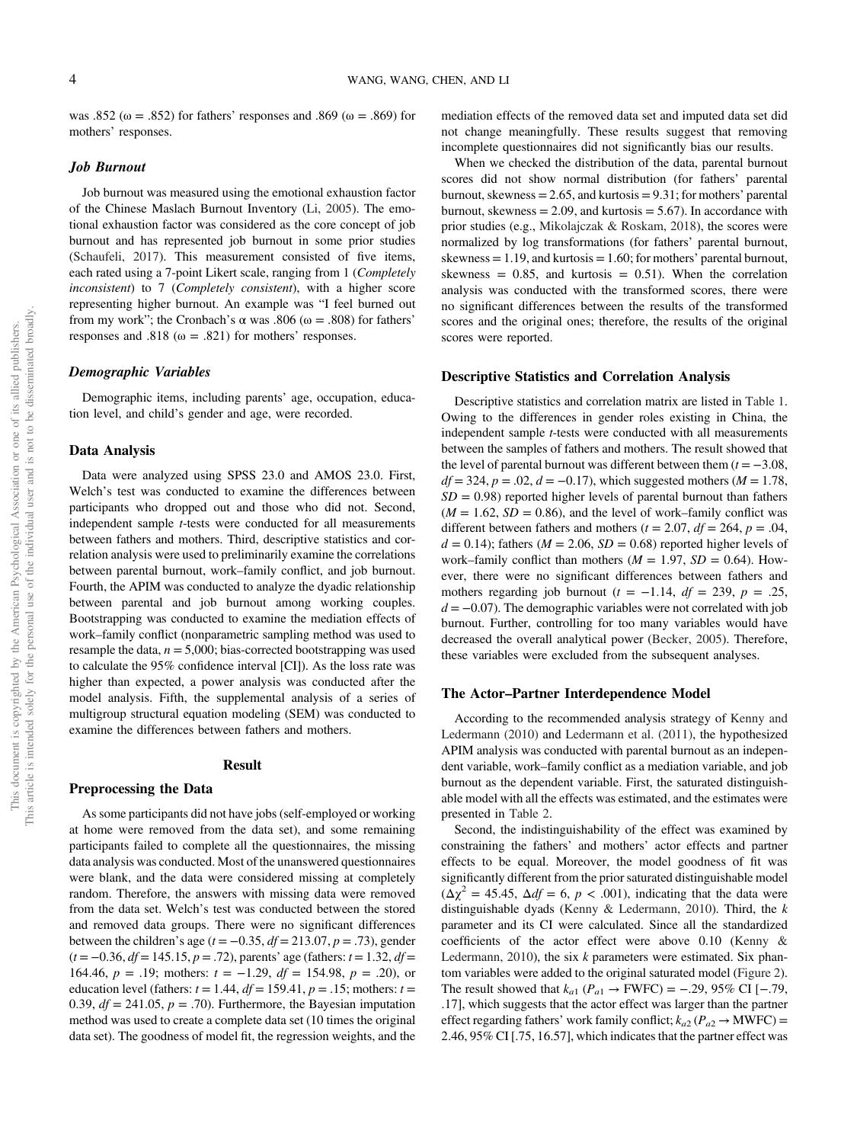was .852 ( $\omega = .852$ ) for fathers' responses and .869 ( $\omega = .869$ ) for mothers' responses.

### $J_{\nu}$ ob  $B_{\nu}$

Job burnout was measured using the emotional exhaustion factor of the Chinese Maslach Burnout Inventory (Li, 2005). The emotional exhaustion factor was considered as the core concept of job burnout and has represented job burnout in some prior studies (Schaufeli, 2017). This measurement consisted of five items, each rated using a 7-point Likert scale, ranging from 1 (Completely inconsistent) to 7 (Completely consistent), with a higher score representing higher burnout. An example was "I feel burned out from my work"; the Cronbach's  $\alpha$  was .806 ( $\omega$  = .808) for fathers' responses and .818 ( $\omega = .821$ ) for mothers' responses.

### Demographic Variables

Demographic items, including parents' age, occupation, education level, and child's gender and age, were recorded.

### Data Analysis

Data were analyzed using SPSS 23.0 and AMOS 23.0. First, Welch's test was conducted to examine the differences between participants who dropped out and those who did not. Second, independent sample t-tests were conducted for all measurements between fathers and mothers. Third, descriptive statistics and correlation analysis were used to preliminarily examine the correlations between parental burnout, work–family conflict, and job burnout. Fourth, the APIM was conducted to analyze the dyadic relationship between parental and job burnout among working couples. Bootstrapping was conducted to examine the mediation effects of work–family conflict (nonparametric sampling method was used to resample the data,  $n = 5,000$ ; bias-corrected bootstrapping was used to calculate the 95% confidence interval [CI]). As the loss rate was higher than expected, a power analysis was conducted after the model analysis. Fifth, the supplemental analysis of a series of multigroup structural equation modeling (SEM) was conducted to examine the differences between fathers and mothers.

### Result

### Preprocessing the Data

As some participants did not have jobs (self-employed or working at home were removed from the data set), and some remaining participants failed to complete all the questionnaires, the missing data analysis was conducted. Most of the unanswered questionnaires were blank, and the data were considered missing at completely random. Therefore, the answers with missing data were removed from the data set. Welch's test was conducted between the stored and removed data groups. There were no significant differences between the children's age ( $t = -0.35$ ,  $df = 213.07$ ,  $p = .73$ ), gender  $(t = -0.36, df = 145.15, p = .72)$ , parents' age (fathers:  $t = 1.32, df =$ 164.46,  $p = .19$ ; mothers:  $t = -1.29$ ,  $df = 154.98$ ,  $p = .20$ ), or education level (fathers:  $t = 1.44$ ,  $df = 159.41$ ,  $p = .15$ ; mothers:  $t =$ 0.39,  $df = 241.05$ ,  $p = .70$ ). Furthermore, the Bayesian imputation method was used to create a complete data set (10 times the original data set). The goodness of model fit, the regression weights, and the mediation effects of the removed data set and imputed data set did not change meaningfully. These results suggest that removing incomplete questionnaires did not significantly bias our results.

When we checked the distribution of the data, parental burnout scores did not show normal distribution (for fathers' parental burnout, skewness  $= 2.65$ , and kurtosis  $= 9.31$ ; for mothers' parental burnout, skewness  $= 2.09$ , and kurtosis  $= 5.67$ ). In accordance with prior studies (e.g., Mikolajczak & Roskam, 2018), the scores were normalized by log transformations (for fathers' parental burnout, skewness  $= 1.19$ , and kurtosis  $= 1.60$ ; for mothers' parental burnout, skewness =  $0.85$ , and kurtosis =  $0.51$ ). When the correlation analysis was conducted with the transformed scores, there were no significant differences between the results of the transformed scores and the original ones; therefore, the results of the original scores were reported.

### Descriptive Statistics and Correlation Analysis

Descriptive statistics and correlation matrix are listed in Table 1. Owing to the differences in gender roles existing in China, the independent sample t-tests were conducted with all measurements between the samples of fathers and mothers. The result showed that the level of parental burnout was different between them  $(t = -3.08$ ,  $df = 324$ ,  $p = .02$ ,  $d = -0.17$ ), which suggested mothers ( $M = 1.78$ ,  $SD = 0.98$ ) reported higher levels of parental burnout than fathers  $(M = 1.62, SD = 0.86)$ , and the level of work–family conflict was different between fathers and mothers ( $t = 2.07$ ,  $df = 264$ ,  $p = .04$ ,  $d = 0.14$ ; fathers ( $M = 2.06$ ,  $SD = 0.68$ ) reported higher levels of work–family conflict than mothers ( $M = 1.97$ ,  $SD = 0.64$ ). However, there were no significant differences between fathers and mothers regarding job burnout ( $t = -1.14$ ,  $df = 239$ ,  $p = .25$ ,  $d = -0.07$ ). The demographic variables were not correlated with job burnout. Further, controlling for too many variables would have decreased the overall analytical power (Becker, 2005). Therefore, these variables were excluded from the subsequent analyses.

### The Actor–Partner Interdependence Model

According to the recommended analysis strategy of Kenny and Ledermann (2010) and Ledermann et al. (2011), the hypothesized APIM analysis was conducted with parental burnout as an independent variable, work–family conflict as a mediation variable, and job burnout as the dependent variable. First, the saturated distinguishable model with all the effects was estimated, and the estimates were presented in [Table 2.](#page-6-0)

Second, the indistinguishability of the effect was examined by constraining the fathers' and mothers' actor effects and partner effects to be equal. Moreover, the model goodness of fit was significantly different from the prior saturated distinguishable model  $(\Delta \chi^2 = 45.45, \Delta df = 6, p < .001)$ , indicating that the data were distinguishable dyads (Kenny & Ledermann, 2010). Third, the k parameter and its CI were calculated. Since all the standardized coefficients of the actor effect were above 0.10 (Kenny & Ledermann, 2010), the six  $k$  parameters were estimated. Six phantom variables were added to the original saturated model (Figure 2). The result showed that  $k_{a1}$  ( $P_{a1} \rightarrow$  FWFC) = -.29, 95% CI [-.79, .17], which suggests that the actor effect was larger than the partner effect regarding fathers' work family conflict;  $k_{a2}$  ( $P_{a2} \rightarrow$  MWFC) = 2.46, 95% CI [.75, 16.57], which indicates that the partner effect was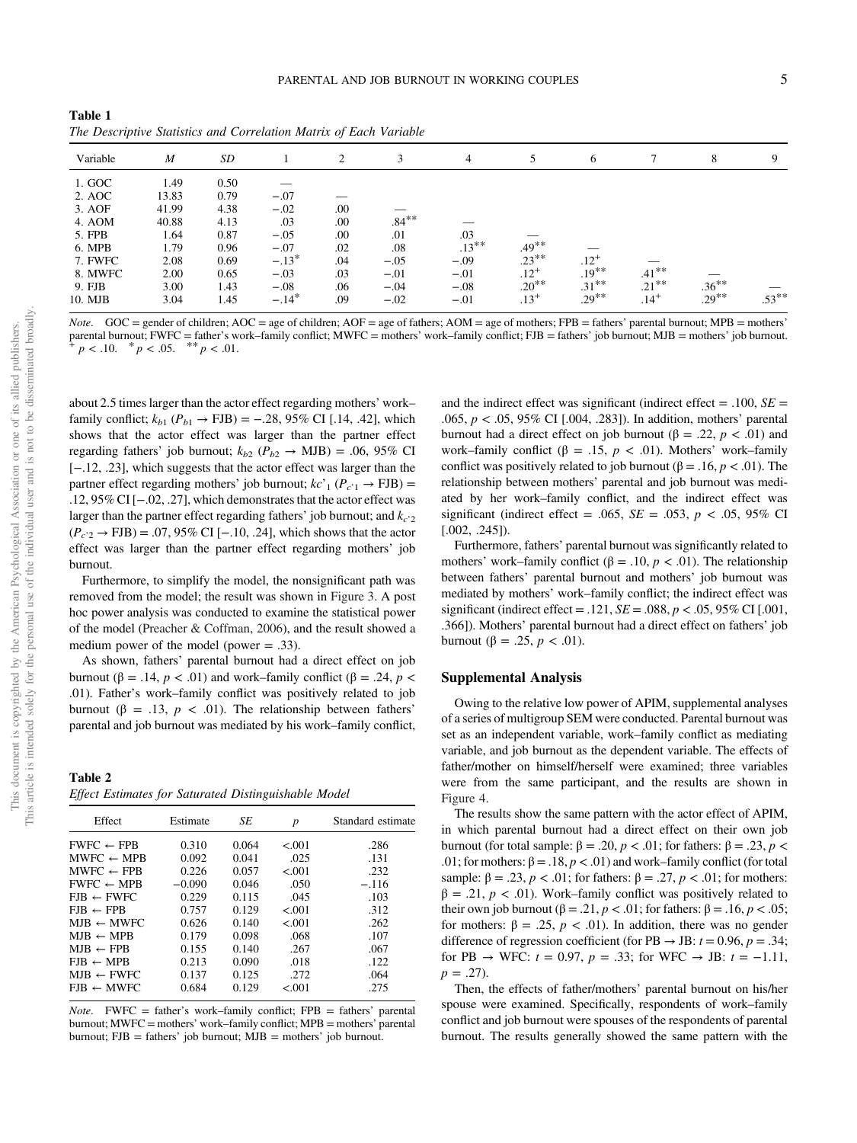<span id="page-6-0"></span>Table 1 The Descriptive Statistics and Correlation Matrix of Each Variable

| Variable | M     | SD   |         | 2   | 3        | 4        |           | 6         |           | 8        | 9        |
|----------|-------|------|---------|-----|----------|----------|-----------|-----------|-----------|----------|----------|
| 1. GOC   | 1.49  | 0.50 |         |     |          |          |           |           |           |          |          |
| 2. AOC   | 13.83 | 0.79 | $-.07$  |     |          |          |           |           |           |          |          |
| 3. AOF   | 41.99 | 4.38 | $-.02$  | .00 |          |          |           |           |           |          |          |
| 4. AOM   | 40.88 | 4.13 | .03     | .00 | $.84***$ |          |           |           |           |          |          |
| 5. FPB   | 1.64  | 0.87 | $-.05$  | .00 | .01      | .03      |           |           |           |          |          |
| 6. MPB   | 1.79  | 0.96 | $-.07$  | .02 | .08      | $.13***$ | $.49***$  |           |           |          |          |
| 7. FWFC  | 2.08  | 0.69 | $-.13*$ | .04 | $-.05$   | $-.09$   | $.23***$  | $.12^{+}$ |           |          |          |
| 8. MWFC  | 2.00  | 0.65 | $-.03$  | .03 | $-.01$   | $-.01$   | $.12^{+}$ | $.19***$  | $.41***$  |          |          |
| 9. FJB   | 3.00  | 1.43 | $-.08$  | .06 | $-.04$   | $-.08$   | $.20**$   | $.31***$  | $.21***$  | $.36***$ |          |
| 10. MJB  | 3.04  | 1.45 | $-.14*$ | .09 | $-.02$   | $-.01$   | $.13+$    | $.29***$  | $.14^{+}$ | $.29***$ | $.53***$ |

*Note.* GOC = gender of children; AOC = age of children; AOF = age of fathers; AOM = age of mothers; FPB = fathers' parental burnout; MPB = mothers' parental burnout; FWFC = father's work–family conflict; MWFC = mothers' work–family conflict; FJB = fathers' job burnout; MJB = mothers' job burnout. + p < .05. \*\* p < .01.

about 2.5 times larger than the actor effect regarding mothers' work– family conflict;  $k_{b1}$  ( $P_{b1}$  → FJB) = -.28, 95% CI [.14, .42], which shows that the actor effect was larger than the partner effect regarding fathers' job burnout;  $k_{b2}$  ( $P_{b2} \rightarrow$  MJB) = .06, 95% CI [−.12, .23], which suggests that the actor effect was larger than the partner effect regarding mothers' job burnout;  $kc'_{1} (P_{c'1} \rightarrow FJB) =$ .12, 95% CI [−.02, .27], which demonstrates that the actor effect was larger than the partner effect regarding fathers' job burnout; and  $k_{c'2}$  $(P_{c'2} \rightarrow FJB) = .07,95\% \text{ CI}$  [-.10, .24], which shows that the actor effect was larger than the partner effect regarding mothers' job burnout.

Furthermore, to simplify the model, the nonsignificant path was removed from the model; the result was shown in Figure 3. A post hoc power analysis was conducted to examine the statistical power of the model (Preacher & Coffman, 2006), and the result showed a medium power of the model (power = .33).

As shown, fathers' parental burnout had a direct effect on job burnout (β = .14, *p* < .01) and work–family conflict (β = .24, *p* < .01). Father's work–family conflict was positively related to job burnout (β = .13, *p* < .01). The relationship between fathers' parental and job burnout was mediated by his work–family conflict,

Table 2 Effect Estimates for Saturated Distinguishable Model

| Effect                | Estimate | SE    | р      | Standard estimate |
|-----------------------|----------|-------|--------|-------------------|
| $FWFC \leftarrow FPB$ | 0.310    | 0.064 | < 0.01 | .286              |
| $MWFC \leftarrow MPB$ | 0.092    | 0.041 | .025   | .131              |
| $MWFC \leftarrow FPB$ | 0.226    | 0.057 | < 0.01 | .232              |
| $FWFC \leftarrow MPB$ | $-0.090$ | 0.046 | .050   | $-.116$           |
| $FJB \leftarrow FWFC$ | 0.229    | 0.115 | .045   | .103              |
| $FIB \leftarrow FPB$  | 0.757    | 0.129 | < 0.01 | .312              |
| $MIB \leftarrow MWFC$ | 0.626    | 0.140 | < 0.01 | .262              |
| $MJB \leftarrow MPB$  | 0.179    | 0.098 | .068   | .107              |
| $MIB \leftarrow FPB$  | 0.155    | 0.140 | .267   | .067              |
| $FJB \leftarrow MPB$  | 0.213    | 0.090 | .018   | .122              |
| $MIB \leftarrow FWFC$ | 0.137    | 0.125 | .272   | .064              |
| $EIB \leftarrow MWFC$ | 0.684    | 0.129 | < 0.01 | .275              |

*Note.* FWFC = father's work–family conflict; FPB = fathers' parental burnout; MWFC = mothers' work–family conflict; MPB = mothers' parental burnout;  $FJB = father's' job burnout; MJB = mother's' job burnout.$ 

and the indirect effect was significant (indirect effect = .100,  $SE =$ .065,  $p < .05$ , 95% CI [.004, .283]). In addition, mothers' parental burnout had a direct effect on job burnout (β = .22,  $p < .01$ ) and work–family conflict ( $\beta = .15$ ,  $p < .01$ ). Mothers' work–family conflict was positively related to job burnout (β = .16,  $p < .01$ ). The relationship between mothers' parental and job burnout was mediated by her work–family conflict, and the indirect effect was significant (indirect effect = .065,  $SE = .053$ ,  $p < .05$ , 95% CI [.002, .245]).

Furthermore, fathers' parental burnout was significantly related to mothers' work–family conflict ( $\beta = .10, p < .01$ ). The relationship between fathers' parental burnout and mothers' job burnout was mediated by mothers' work–family conflict; the indirect effect was significant (indirect effect = .121,  $SE = .088$ ,  $p < .05$ , 95% CI [.001, .366]). Mothers' parental burnout had a direct effect on fathers' job burnout (β = .25, *p* < .01).

### Supplemental Analysis

Owing to the relative low power of APIM, supplemental analyses of a series of multigroup SEM were conducted. Parental burnout was set as an independent variable, work–family conflict as mediating variable, and job burnout as the dependent variable. The effects of father/mother on himself/herself were examined; three variables were from the same participant, and the results are shown in [Figure 4.](#page-8-0)

The results show the same pattern with the actor effect of APIM, in which parental burnout had a direct effect on their own job burnout (for total sample: β = .20, *p* < .01; for fathers: β = .23, *p* < .01; for mothers:  $\beta = .18$ ,  $p < .01$ ) and work–family conflict (for total sample:  $\beta = .23$ ,  $p < .01$ ; for fathers:  $\beta = .27$ ,  $p < .01$ ; for mothers:  $\beta = .21, p < .01$ ). Work–family conflict was positively related to their own job burnout (β = .21,  $p < .01$ ; for fathers: β = .16,  $p < .05$ ; for mothers: β = .25, p < .01). In addition, there was no gender difference of regression coefficient (for PB  $\rightarrow$  JB:  $t = 0.96$ ,  $p = .34$ ; for PB → WFC:  $t = 0.97$ ,  $p = .33$ ; for WFC → JB:  $t = -1.11$ ,  $p = .27$ ).

Then, the effects of father/mothers' parental burnout on his/her spouse were examined. Specifically, respondents of work–family conflict and job burnout were spouses of the respondents of parental burnout. The results generally showed the same pattern with the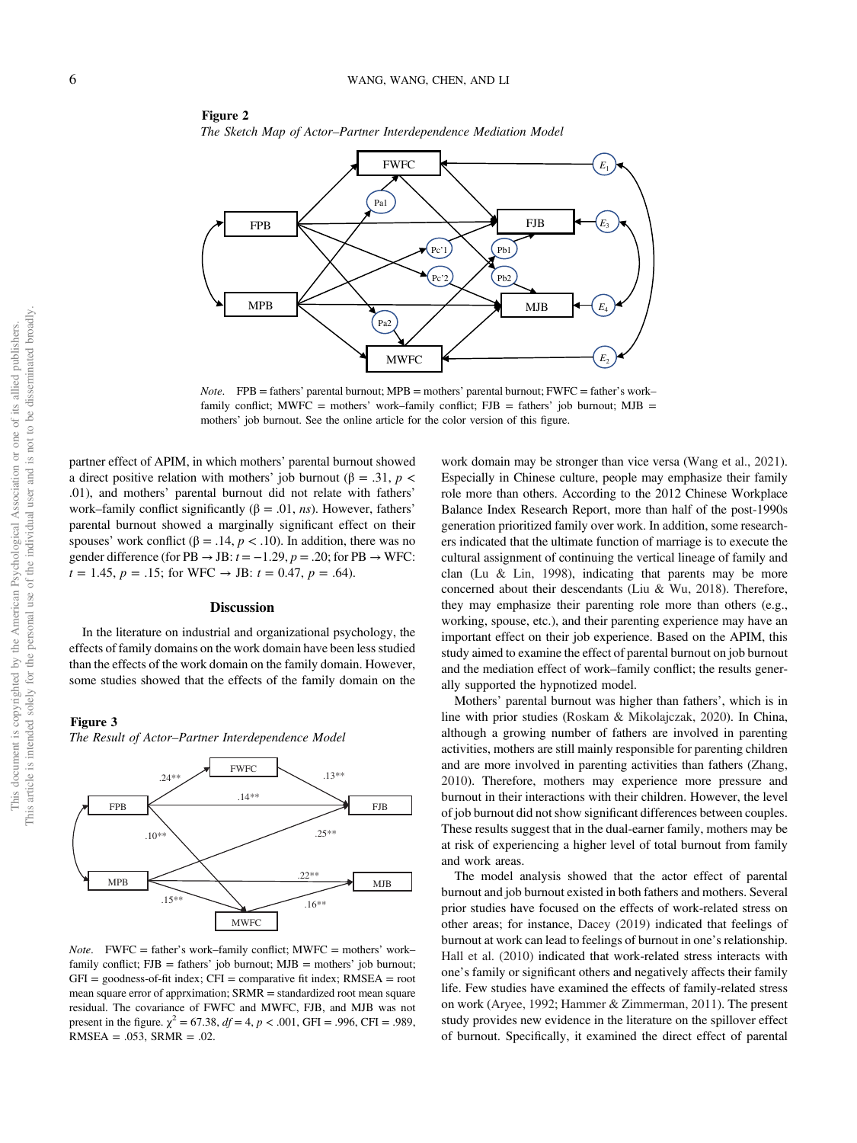

The Sketch Map of Actor–Partner Interdependence Mediation Model

*Note.*  $FPB =$  fathers' parental burnout;  $MPB =$  mothers' parental burnout;  $FWFC =$  father's work– family conflict; MWFC = mothers' work–family conflict;  $FJB =$  fathers' job burnout; MJB = mothers' job burnout. See the online article for the color version of this figure.

partner effect of APIM, in which mothers' parental burnout showed a direct positive relation with mothers' job burnout (β = .31,  $p$  < .01), and mothers' parental burnout did not relate with fathers' work–family conflict significantly ( $\beta = .01$ , *ns*). However, fathers' parental burnout showed a marginally significant effect on their spouses' work conflict ( $\beta = .14$ ,  $p < .10$ ). In addition, there was no gender difference (for PB  $\rightarrow$  JB:  $t = -1.29$ ,  $p = .20$ ; for PB  $\rightarrow$  WFC:  $t = 1.45$ ,  $p = .15$ ; for WFC  $\rightarrow$  JB:  $t = 0.47$ ,  $p = .64$ ).

Figure 2

#### **Discussion**

In the literature on industrial and organizational psychology, the effects of family domains on the work domain have been less studied than the effects of the work domain on the family domain. However, some studies showed that the effects of the family domain on the

### Figure 3

This document is copyrighted by the American Psychological Association or one of its allied publishers. This article is intended solely for the personal use of the individual user and is not to be disseminated broadly.

This article is intended solely for the personal use of the individual user and is not to be disseminated broadly This document is copyrighted by the American Psychological Association or one of its allied publishers.

The Result of Actor–Partner Interdependence Model



*Note.* FWFC = father's work–family conflict;  $MWFC =$  mothers' work– family conflict;  $FJB =$  fathers' job burnout;  $MJB =$  mothers' job burnout;  $GFI = goodness-of-fit index$ ;  $CFI = comparative fit index$ ;  $RMSEA = root$ mean square error of apprximation; SRMR = standardized root mean square residual. The covariance of FWFC and MWFC, FJB, and MJB was not present in the figure.  $\chi^2 = 67.38$ ,  $df = 4$ ,  $p < .001$ , GFI = .996, CFI = .989,  $RMSEA = .053$ ,  $SRMR = .02$ .

work domain may be stronger than vice versa (Wang et al., 2021). Especially in Chinese culture, people may emphasize their family role more than others. According to the 2012 Chinese Workplace Balance Index Research Report, more than half of the post-1990s generation prioritized family over work. In addition, some researchers indicated that the ultimate function of marriage is to execute the cultural assignment of continuing the vertical lineage of family and clan (Lu & Lin, 1998), indicating that parents may be more concerned about their descendants (Liu & Wu, 2018). Therefore, they may emphasize their parenting role more than others (e.g., working, spouse, etc.), and their parenting experience may have an important effect on their job experience. Based on the APIM, this study aimed to examine the effect of parental burnout on job burnout and the mediation effect of work–family conflict; the results generally supported the hypnotized model.

Mothers' parental burnout was higher than fathers', which is in line with prior studies (Roskam & Mikolajczak, 2020). In China, although a growing number of fathers are involved in parenting activities, mothers are still mainly responsible for parenting children and are more involved in parenting activities than fathers (Zhang, 2010). Therefore, mothers may experience more pressure and burnout in their interactions with their children. However, the level of job burnout did not show significant differences between couples. These results suggest that in the dual-earner family, mothers may be at risk of experiencing a higher level of total burnout from family and work areas.

The model analysis showed that the actor effect of parental burnout and job burnout existed in both fathers and mothers. Several prior studies have focused on the effects of work-related stress on other areas; for instance, Dacey (2019) indicated that feelings of burnout at work can lead to feelings of burnout in one's relationship. Hall et al. (2010) indicated that work-related stress interacts with one's family or significant others and negatively affects their family life. Few studies have examined the effects of family-related stress on work (Aryee, 1992; Hammer & Zimmerman, 2011). The present study provides new evidence in the literature on the spillover effect of burnout. Specifically, it examined the direct effect of parental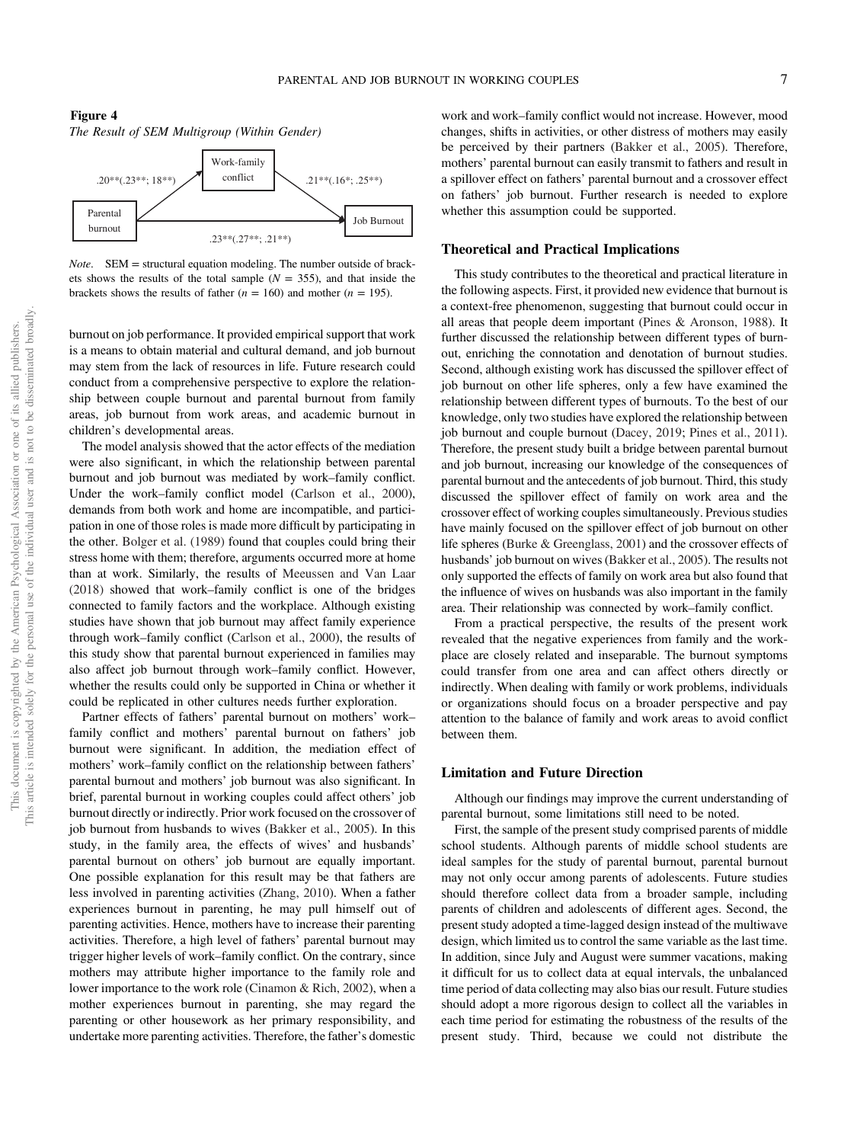<span id="page-8-0"></span>



Note. SEM = structural equation modeling. The number outside of brackets shows the results of the total sample  $(N = 355)$ , and that inside the brackets shows the results of father ( $n = 160$ ) and mother ( $n = 195$ ).

burnout on job performance. It provided empirical support that work is a means to obtain material and cultural demand, and job burnout may stem from the lack of resources in life. Future research could conduct from a comprehensive perspective to explore the relationship between couple burnout and parental burnout from family areas, job burnout from work areas, and academic burnout in children's developmental areas.

The model analysis showed that the actor effects of the mediation were also significant, in which the relationship between parental burnout and job burnout was mediated by work–family conflict. Under the work–family conflict model (Carlson et al., 2000), demands from both work and home are incompatible, and participation in one of those roles is made more difficult by participating in the other. Bolger et al. (1989) found that couples could bring their stress home with them; therefore, arguments occurred more at home than at work. Similarly, the results of Meeussen and Van Laar (2018) showed that work–family conflict is one of the bridges connected to family factors and the workplace. Although existing studies have shown that job burnout may affect family experience through work–family conflict (Carlson et al., 2000), the results of this study show that parental burnout experienced in families may also affect job burnout through work–family conflict. However, whether the results could only be supported in China or whether it could be replicated in other cultures needs further exploration.

Partner effects of fathers' parental burnout on mothers' work– family conflict and mothers' parental burnout on fathers' job burnout were significant. In addition, the mediation effect of mothers' work–family conflict on the relationship between fathers' parental burnout and mothers' job burnout was also significant. In brief, parental burnout in working couples could affect others' job burnout directly or indirectly. Prior work focused on the crossover of job burnout from husbands to wives (Bakker et al., 2005). In this study, in the family area, the effects of wives' and husbands' parental burnout on others' job burnout are equally important. One possible explanation for this result may be that fathers are less involved in parenting activities (Zhang, 2010). When a father experiences burnout in parenting, he may pull himself out of parenting activities. Hence, mothers have to increase their parenting activities. Therefore, a high level of fathers' parental burnout may trigger higher levels of work–family conflict. On the contrary, since mothers may attribute higher importance to the family role and lower importance to the work role (Cinamon & Rich, 2002), when a mother experiences burnout in parenting, she may regard the parenting or other housework as her primary responsibility, and undertake more parenting activities. Therefore, the father's domestic

work and work–family conflict would not increase. However, mood changes, shifts in activities, or other distress of mothers may easily be perceived by their partners (Bakker et al., 2005). Therefore, mothers' parental burnout can easily transmit to fathers and result in a spillover effect on fathers' parental burnout and a crossover effect on fathers' job burnout. Further research is needed to explore whether this assumption could be supported.

### Theoretical and Practical Implications

This study contributes to the theoretical and practical literature in the following aspects. First, it provided new evidence that burnout is a context-free phenomenon, suggesting that burnout could occur in all areas that people deem important (Pines & Aronson, 1988). It further discussed the relationship between different types of burnout, enriching the connotation and denotation of burnout studies. Second, although existing work has discussed the spillover effect of job burnout on other life spheres, only a few have examined the relationship between different types of burnouts. To the best of our knowledge, only two studies have explored the relationship between job burnout and couple burnout (Dacey, 2019; Pines et al., 2011). Therefore, the present study built a bridge between parental burnout and job burnout, increasing our knowledge of the consequences of parental burnout and the antecedents of job burnout. Third, this study discussed the spillover effect of family on work area and the crossover effect of working couples simultaneously. Previous studies have mainly focused on the spillover effect of job burnout on other life spheres (Burke & Greenglass, 2001) and the crossover effects of husbands' job burnout on wives (Bakker et al., 2005). The results not only supported the effects of family on work area but also found that the influence of wives on husbands was also important in the family area. Their relationship was connected by work–family conflict.

From a practical perspective, the results of the present work revealed that the negative experiences from family and the workplace are closely related and inseparable. The burnout symptoms could transfer from one area and can affect others directly or indirectly. When dealing with family or work problems, individuals or organizations should focus on a broader perspective and pay attention to the balance of family and work areas to avoid conflict between them.

### Limitation and Future Direction

Although our findings may improve the current understanding of parental burnout, some limitations still need to be noted.

First, the sample of the present study comprised parents of middle school students. Although parents of middle school students are ideal samples for the study of parental burnout, parental burnout may not only occur among parents of adolescents. Future studies should therefore collect data from a broader sample, including parents of children and adolescents of different ages. Second, the present study adopted a time-lagged design instead of the multiwave design, which limited us to control the same variable as the last time. In addition, since July and August were summer vacations, making it difficult for us to collect data at equal intervals, the unbalanced time period of data collecting may also bias our result. Future studies should adopt a more rigorous design to collect all the variables in each time period for estimating the robustness of the results of the present study. Third, because we could not distribute the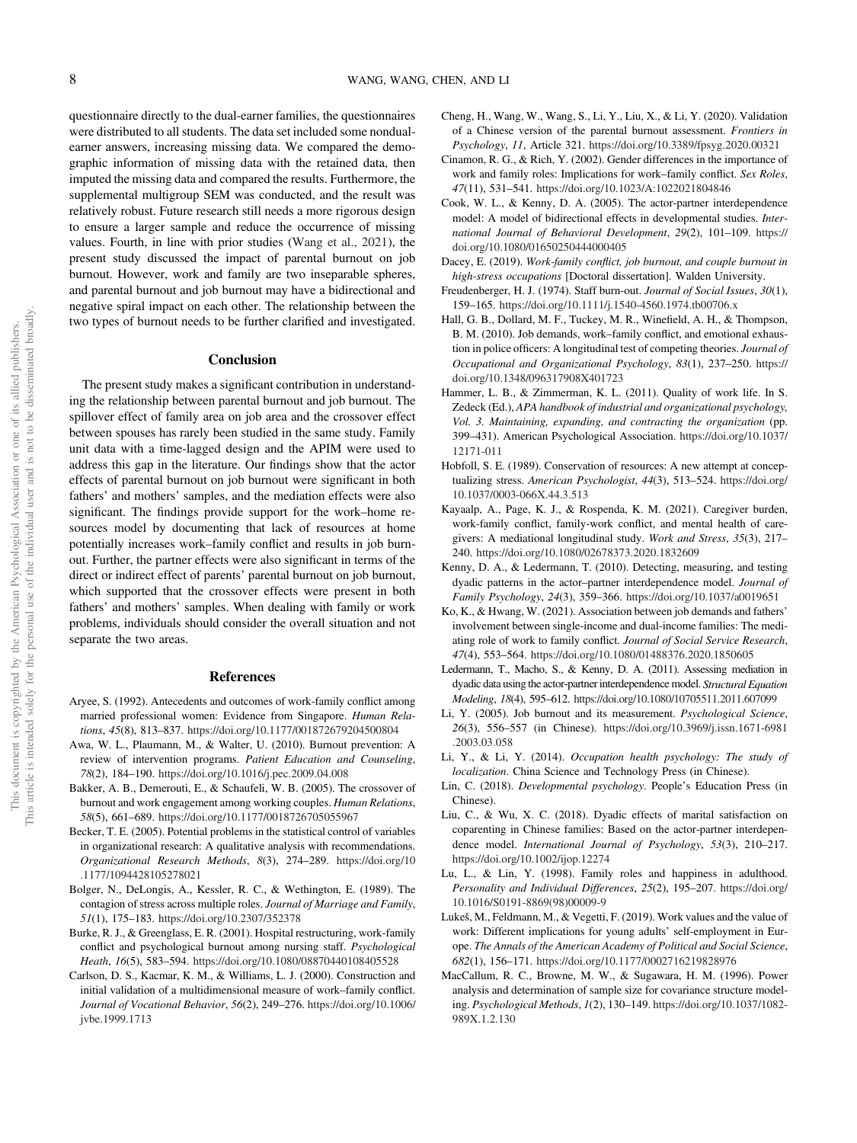questionnaire directly to the dual-earner families, the questionnaires were distributed to all students. The data set included some nondualearner answers, increasing missing data. We compared the demographic information of missing data with the retained data, then imputed the missing data and compared the results. Furthermore, the supplemental multigroup SEM was conducted, and the result was relatively robust. Future research still needs a more rigorous design to ensure a larger sample and reduce the occurrence of missing values. Fourth, in line with prior studies (Wang et al., 2021), the present study discussed the impact of parental burnout on job burnout. However, work and family are two inseparable spheres, and parental burnout and job burnout may have a bidirectional and negative spiral impact on each other. The relationship between the two types of burnout needs to be further clarified and investigated.

#### Conclusion

The present study makes a significant contribution in understanding the relationship between parental burnout and job burnout. The spillover effect of family area on job area and the crossover effect between spouses has rarely been studied in the same study. Family unit data with a time-lagged design and the APIM were used to address this gap in the literature. Our findings show that the actor effects of parental burnout on job burnout were significant in both fathers' and mothers' samples, and the mediation effects were also significant. The findings provide support for the work–home resources model by documenting that lack of resources at home potentially increases work–family conflict and results in job burnout. Further, the partner effects were also significant in terms of the direct or indirect effect of parents' parental burnout on job burnout, which supported that the crossover effects were present in both fathers' and mothers' samples. When dealing with family or work problems, individuals should consider the overall situation and not separate the two areas.

### References

- Aryee, S. (1992). Antecedents and outcomes of work-family conflict among married professional women: Evidence from Singapore. Human Relations, 45(8), 813–837. <https://doi.org/10.1177/001872679204500804>
- Awa, W. L., Plaumann, M., & Walter, U. (2010). Burnout prevention: A review of intervention programs. Patient Education and Counseling, 78(2), 184–190. <https://doi.org/10.1016/j.pec.2009.04.008>
- Bakker, A. B., Demerouti, E., & Schaufeli, W. B. (2005). The crossover of burnout and work engagement among working couples. Human Relations, 58(5), 661–689. <https://doi.org/10.1177/0018726705055967>
- Becker, T. E. (2005). Potential problems in the statistical control of variables in organizational research: A qualitative analysis with recommendations. Organizational Research Methods, 8(3), 274–289. [https://doi.org/10](https://doi.org/10.1177/1094428105278021) [.1177/1094428105278021](https://doi.org/10.1177/1094428105278021)
- Bolger, N., DeLongis, A., Kessler, R. C., & Wethington, E. (1989). The contagion of stress across multiple roles. Journal of Marriage and Family, 51(1), 175–183. <https://doi.org/10.2307/352378>
- Burke, R. J., & Greenglass, E. R. (2001). Hospital restructuring, work-family conflict and psychological burnout among nursing staff. Psychological Heath, 16(5), 583–594. <https://doi.org/10.1080/08870440108405528>
- Carlson, D. S., Kacmar, K. M., & Williams, L. J. (2000). Construction and initial validation of a multidimensional measure of work–family conflict. Journal of Vocational Behavior, 56(2), 249–276. [https://doi.org/10.1006/](https://doi.org/10.1006/jvbe.1999.1713) [jvbe.1999.1713](https://doi.org/10.1006/jvbe.1999.1713)
- Cheng, H., Wang, W., Wang, S., Li, Y., Liu, X., & Li, Y. (2020). Validation of a Chinese version of the parental burnout assessment. Frontiers in Psychology, 11, Article 321. <https://doi.org/10.3389/fpsyg.2020.00321>
- Cinamon, R. G., & Rich, Y. (2002). Gender differences in the importance of work and family roles: Implications for work–family conflict. Sex Roles, 47(11), 531–541. <https://doi.org/10.1023/A:1022021804846>
- Cook, W. L., & Kenny, D. A. (2005). The actor-partner interdependence model: A model of bidirectional effects in developmental studies. International Journal of Behavioral Development, 29(2), 101–109. [https://](https://doi.org/10.1080/01650250444000405) [doi.org/10.1080/01650250444000405](https://doi.org/10.1080/01650250444000405)
- Dacey, E. (2019). Work-family conflict, job burnout, and couple burnout in high-stress occupations [Doctoral dissertation]. Walden University.
- Freudenberger, H. J. (1974). Staff burn-out. Journal of Social Issues, 30(1), 159–165. <https://doi.org/10.1111/j.1540-4560.1974.tb00706.x>
- Hall, G. B., Dollard, M. F., Tuckey, M. R., Winefield, A. H., & Thompson, B. M. (2010). Job demands, work–family conflict, and emotional exhaustion in police officers: A longitudinal test of competing theories. Journal of Occupational and Organizational Psychology, 83(1), 237–250. [https://](https://doi.org/10.1348/096317908X401723) [doi.org/10.1348/096317908X401723](https://doi.org/10.1348/096317908X401723)
- Hammer, L. B., & Zimmerman, K. L. (2011). Quality of work life. In S. Zedeck (Ed.), APA handbook of industrial and organizational psychology, Vol. 3. Maintaining, expanding, and contracting the organization (pp. 399–431). American Psychological Association. [https://doi.org/10.1037/](https://doi.org/10.1037/12171-011) [12171-011](https://doi.org/10.1037/12171-011)
- Hobfoll, S. E. (1989). Conservation of resources: A new attempt at conceptualizing stress. American Psychologist, 44(3), 513–524. [https://doi.org/](https://doi.org/10.1037/0003-066X.44.3.513) [10.1037/0003-066X.44.3.513](https://doi.org/10.1037/0003-066X.44.3.513)
- Kayaalp, A., Page, K. J., & Rospenda, K. M. (2021). Caregiver burden, work-family conflict, family-work conflict, and mental health of caregivers: A mediational longitudinal study. Work and Stress, 35(3), 217– 240. <https://doi.org/10.1080/02678373.2020.1832609>
- Kenny, D. A., & Ledermann, T. (2010). Detecting, measuring, and testing dyadic patterns in the actor–partner interdependence model. Journal of Family Psychology, 24(3), 359–366. <https://doi.org/10.1037/a0019651>
- Ko, K., & Hwang, W. (2021). Association between job demands and fathers' involvement between single-income and dual-income families: The mediating role of work to family conflict. Journal of Social Service Research, 47(4), 553–564. <https://doi.org/10.1080/01488376.2020.1850605>
- Ledermann, T., Macho, S., & Kenny, D. A. (2011). Assessing mediation in dyadic data using the actor-partner interdependence model. Structural Equation Modeling, 18(4), 595–612. <https://doi.org/10.1080/10705511.2011.607099>
- Li, Y. (2005). Job burnout and its measurement. Psychological Science, 26(3), 556–557 (in Chinese). [https://doi.org/10.3969/j.issn.1671-6981](https://doi.org/10.3969/j.issn.1671-6981.2003.03.058) [.2003.03.058](https://doi.org/10.3969/j.issn.1671-6981.2003.03.058)
- Li, Y., & Li, Y. (2014). Occupation health psychology: The study of localization. China Science and Technology Press (in Chinese).
- Lin, C. (2018). Developmental psychology. People's Education Press (in Chinese).
- Liu, C., & Wu, X. C. (2018). Dyadic effects of marital satisfaction on coparenting in Chinese families: Based on the actor-partner interdependence model. International Journal of Psychology, 53(3), 210-217. <https://doi.org/10.1002/ijop.12274>
- Lu, L., & Lin, Y. (1998). Family roles and happiness in adulthood. Personality and Individual Differences, 25(2), 195–207. [https://doi.org/](https://doi.org/10.1016/S0191-8869(98)00009-9) [10.1016/S0191-8869\(98\)00009-9](https://doi.org/10.1016/S0191-8869(98)00009-9)
- Lukeš, M., Feldmann, M., & Vegetti, F. (2019). Work values and the value of work: Different implications for young adults' self-employment in Europe. The Annals of the American Academy of Political and Social Science, 682(1), 156–171. <https://doi.org/10.1177/0002716219828976>
- MacCallum, R. C., Browne, M. W., & Sugawara, H. M. (1996). Power analysis and determination of sample size for covariance structure modeling. Psychological Methods, 1(2), 130–149. [https://doi.org/10.1037/1082-](https://doi.org/10.1037/1082-989X.1.2.130) [989X.1.2.130](https://doi.org/10.1037/1082-989X.1.2.130)